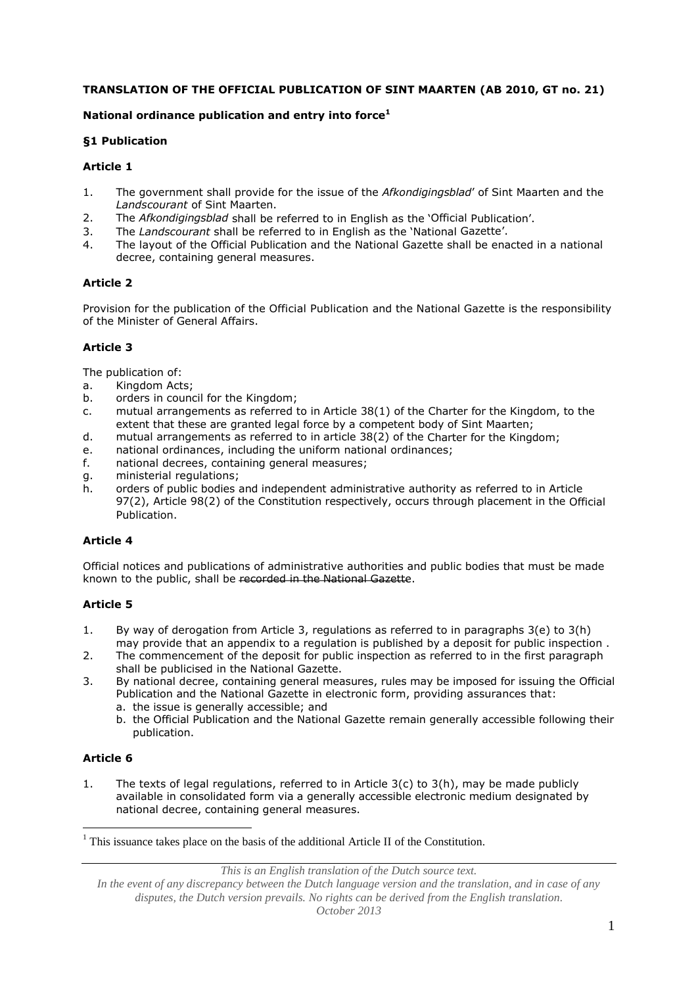## **TRANSLATION OF THE OFFICIAL PUBLICATION OF SINT MAARTEN (AB 2010, GT no. 21)**

# **National ordinance publication and entry into force<sup>1</sup>**

# **§1 Publication**

## **Article 1**

- 1. The government shall provide for the issue of the *Afkondigingsblad*' of Sint Maarten and the *Landscourant* of Sint Maarten.
- 2. The *Afkondigingsblad* shall be referred to in English as the 'Official Publication'.
- 3. The *Landscourant* shall be referred to in English as the 'National Gazette'.
- 4. The layout of the Official Publication and the National Gazette shall be enacted in a national decree, containing general measures.

# **Article 2**

Provision for the publication of the Official Publication and the National Gazette is the responsibility of the Minister of General Affairs.

# **Article 3**

The publication of:

- a. Kingdom Acts;
- b. orders in council for the Kingdom;
- c. mutual arrangements as referred to in Article 38(1) of the Charter for the Kingdom, to the extent that these are granted legal force by a competent body of Sint Maarten;
- d. mutual arrangements as referred to in article 38(2) of the Charter for the Kingdom;
- e. national ordinances, including the uniform national ordinances;
- f. national decrees, containing general measures;
- g. ministerial regulations;
- h. orders of public bodies and independent administrative authority as referred to in Article 97(2), Article 98(2) of the Constitution respectively, occurs through placement in the Official Publication.

### **Article 4**

Official notices and publications of administrative authorities and public bodies that must be made known to the public, shall be recorded in the National Gazette.

### **Article 5**

- 1. By way of derogation from Article 3, regulations as referred to in paragraphs 3(e) to 3(h) may provide that an appendix to a regulation is published by a deposit for public inspection .
- 2. The commencement of the deposit for public inspection as referred to in the first paragraph shall be publicised in the National Gazette.
- 3. By national decree, containing general measures, rules may be imposed for issuing the Official Publication and the National Gazette in electronic form, providing assurances that:
	- a. the issue is generally accessible; and
	- b. the Official Publication and the National Gazette remain generally accessible following their publication.

### **Article 6**

<u>.</u>

1. The texts of legal regulations, referred to in Article 3(c) to 3(h), may be made publicly available in consolidated form via a generally accessible electronic medium designated by national decree, containing general measures.

*This is an English translation of the Dutch source text.*

 $1$ <sup>1</sup> This issuance takes place on the basis of the additional Article II of the Constitution.

*In the event of any discrepancy between the Dutch language version and the translation, and in case of any disputes, the Dutch version prevails. No rights can be derived from the English translation. October 2013*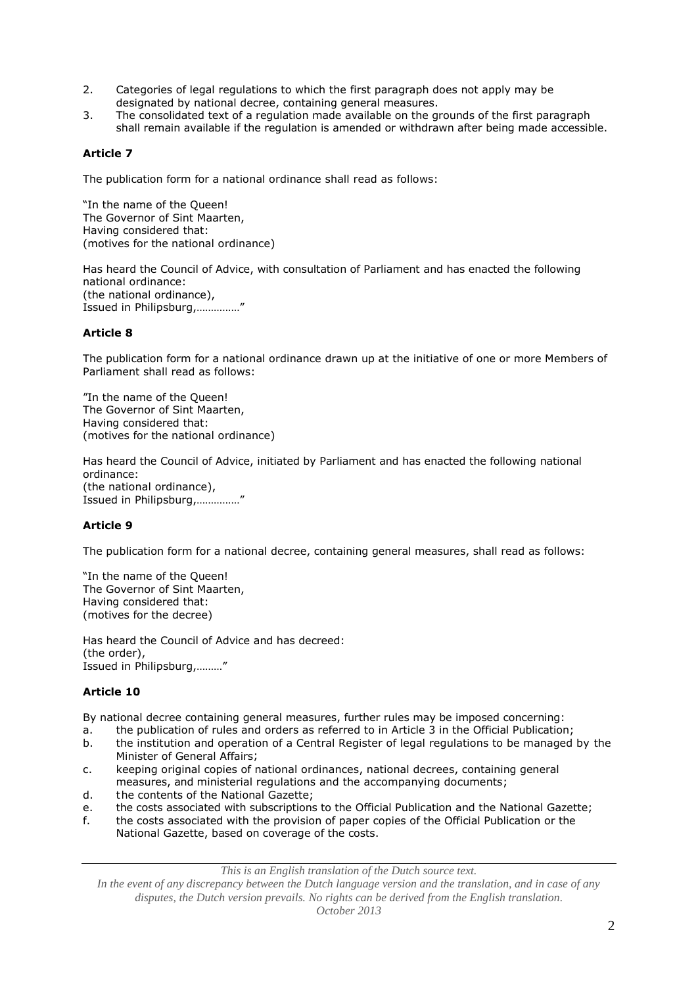- 2. Categories of legal regulations to which the first paragraph does not apply may be designated by national decree, containing general measures.
- 3. The consolidated text of a regulation made available on the grounds of the first paragraph shall remain available if the regulation is amended or withdrawn after being made accessible.

## **Article 7**

The publication form for a national ordinance shall read as follows:

"In the name of the Queen! The Governor of Sint Maarten, Having considered that: (motives for the national ordinance)

Has heard the Council of Advice, with consultation of Parliament and has enacted the following national ordinance: (the national ordinance), Issued in Philipsburg,……………"

### **Article 8**

The publication form for a national ordinance drawn up at the initiative of one or more Members of Parliament shall read as follows:

"In the name of the Queen! The Governor of Sint Maarten, Having considered that: (motives for the national ordinance)

Has heard the Council of Advice, initiated by Parliament and has enacted the following national ordinance: (the national ordinance), Issued in Philipsburg,……………"

### **Article 9**

The publication form for a national decree, containing general measures, shall read as follows:

"In the name of the Queen! The Governor of Sint Maarten, Having considered that: (motives for the decree)

Has heard the Council of Advice and has decreed: (the order), Issued in Philipsburg,………"

### **Article 10**

By national decree containing general measures, further rules may be imposed concerning:

- a. the publication of rules and orders as referred to in Article 3 in the Official Publication;
- b. the institution and operation of a Central Register of legal regulations to be managed by the Minister of General Affairs;
- c. keeping original copies of national ordinances, national decrees, containing general measures, and ministerial regulations and the accompanying documents;
- d. the contents of the National Gazette;
- e. the costs associated with subscriptions to the Official Publication and the National Gazette;
- f. the costs associated with the provision of paper copies of the Official Publication or the National Gazette, based on coverage of the costs.

*This is an English translation of the Dutch source text.*

*In the event of any discrepancy between the Dutch language version and the translation, and in case of any disputes, the Dutch version prevails. No rights can be derived from the English translation. October 2013*